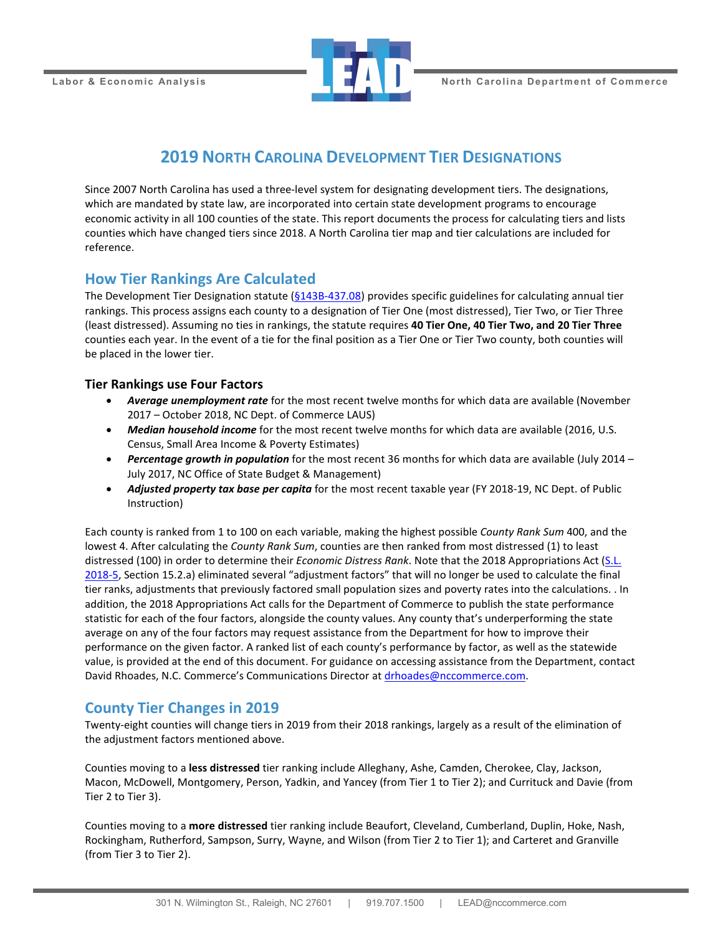

## **2019 NORTH CAROLINA DEVELOPMENT TIER DESIGNATIONS**

Since 2007 North Carolina has used a three-level system for designating development tiers. The designations, which are mandated by state law, are incorporated into certain state development programs to encourage economic activity in all 100 counties of the state. This report documents the process for calculating tiers and lists counties which have changed tiers since 2018. A North Carolina tier map and tier calculations are included for reference.

### **How Tier Rankings Are Calculated**

The Development Tier Designation statute [\(§143B-437.08\)](http://www.ncleg.net/EnactedLegislation/Statutes/HTML/BySection/Chapter_143B/GS_143B-437.08.html) provides specific guidelines for calculating annual tier rankings. This process assigns each county to a designation of Tier One (most distressed), Tier Two, or Tier Three (least distressed). Assuming no ties in rankings, the statute requires **40 Tier One, 40 Tier Two, and 20 Tier Three** counties each year. In the event of a tie for the final position as a Tier One or Tier Two county, both counties will be placed in the lower tier.

### **Tier Rankings use Four Factors**

- *Average unemployment rate* for the most recent twelve months for which data are available (November 2017 – October 2018, NC Dept. of Commerce LAUS)
- Median household income for the most recent twelve months for which data are available (2016, U.S. Census, Small Area Income & Poverty Estimates)
- *Percentage growth in population* for the most recent 36 months for which data are available (July 2014 July 2017, NC Office of State Budget & Management)
- *Adjusted property tax base per capita* for the most recent taxable year (FY 2018-19, NC Dept. of Public Instruction)

Each county is ranked from 1 to 100 on each variable, making the highest possible *County Rank Sum* 400, and the lowest 4. After calculating the *County Rank Sum*, counties are then ranked from most distressed (1) to least distressed (100) in order to determine their *Economic Distress Rank*. Note that the 2018 Appropriations Act [\(S.L.](https://www.ncleg.net/EnactedLegislation/SessionLaws/PDF/2017-2018/SL2018-5.pdf)  [2018-5,](https://www.ncleg.net/EnactedLegislation/SessionLaws/PDF/2017-2018/SL2018-5.pdf) Section 15.2.a) eliminated several "adjustment factors" that will no longer be used to calculate the final tier ranks, adjustments that previously factored small population sizes and poverty rates into the calculations. . In addition, the 2018 Appropriations Act calls for the Department of Commerce to publish the state performance statistic for each of the four factors, alongside the county values. Any county that's underperforming the state average on any of the four factors may request assistance from the Department for how to improve their performance on the given factor. A ranked list of each county's performance by factor, as well as the statewide value, is provided at the end of this document. For guidance on accessing assistance from the Department, contact David Rhoades, N.C. Commerce's Communications Director at [drhoades@nccommerce.com.](mailto:drhoades@nccommerce.com)

### **County Tier Changes in 2019**

Twenty-eight counties will change tiers in 2019 from their 2018 rankings, largely as a result of the elimination of the adjustment factors mentioned above.

Counties moving to a **less distressed** tier ranking include Alleghany, Ashe, Camden, Cherokee, Clay, Jackson, Macon, McDowell, Montgomery, Person, Yadkin, and Yancey (from Tier 1 to Tier 2); and Currituck and Davie (from Tier 2 to Tier 3).

Counties moving to a **more distressed** tier ranking include Beaufort, Cleveland, Cumberland, Duplin, Hoke, Nash, Rockingham, Rutherford, Sampson, Surry, Wayne, and Wilson (from Tier 2 to Tier 1); and Carteret and Granville (from Tier 3 to Tier 2).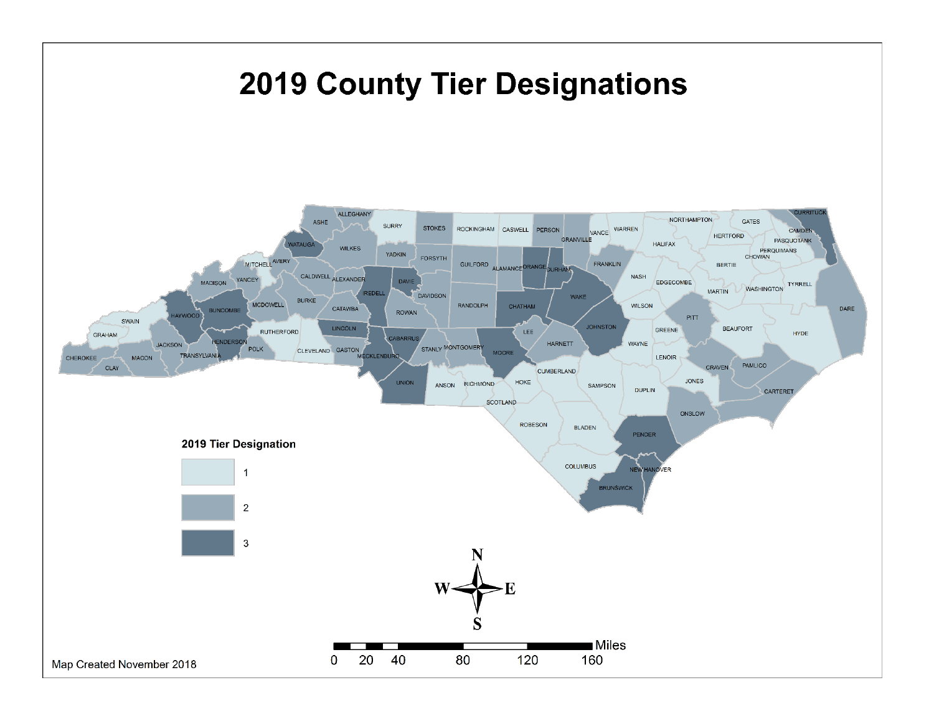# **2019 County Tier Designations**

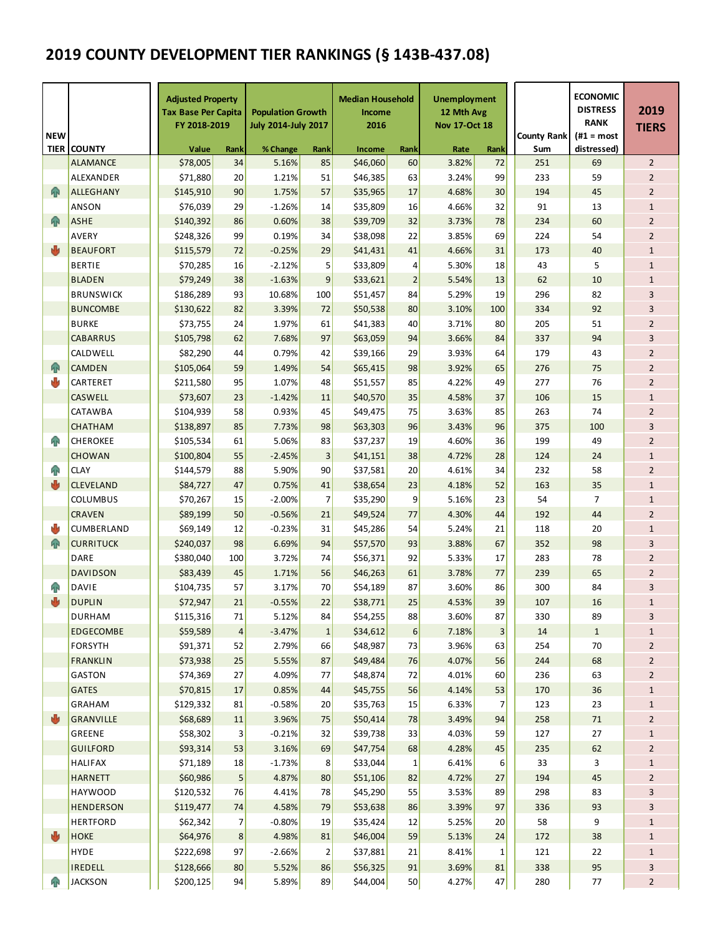# **2019 COUNTY DEVELOPMENT TIER RANKINGS (§ 143B-437.08)**

| <b>NEW</b>  |                                  | <b>Adjusted Property</b><br><b>Tax Base Per Capita</b><br>FY 2018-2019 |                | <b>Population Growth</b><br><b>July 2014-July 2017</b> |                      | <b>Median Household</b><br>Income<br>2016 |                  | <b>Unemployment</b><br>12 Mth Avg<br><b>Nov 17-Oct 18</b> |          | <b>County Rank</b> | <b>ECONOMIC</b><br><b>DISTRESS</b><br><b>RANK</b><br>$(H1 = most$ | 2019<br><b>TIERS</b>           |
|-------------|----------------------------------|------------------------------------------------------------------------|----------------|--------------------------------------------------------|----------------------|-------------------------------------------|------------------|-----------------------------------------------------------|----------|--------------------|-------------------------------------------------------------------|--------------------------------|
| <b>TIER</b> | <b>COUNTY</b>                    | Value                                                                  | Rank           | % Change                                               | Rank                 | Income                                    | Rank             | Rate                                                      | Rank     | Sum                | distressed)                                                       |                                |
|             | <b>ALAMANCE</b>                  | \$78,005                                                               | 34             | 5.16%                                                  | 85                   | \$46,060                                  | 60               | 3.82%                                                     | 72       | 251                | 69                                                                | $\overline{2}$                 |
|             | <b>ALEXANDER</b>                 | \$71,880                                                               | 20             | 1.21%                                                  | 51                   | \$46,385                                  | 63               | 3.24%                                                     | 99       | 233                | 59                                                                | $\overline{2}$                 |
| <b>AR</b>   | <b>ALLEGHANY</b>                 | \$145,910                                                              | 90             | 1.75%                                                  | 57                   | \$35,965                                  | 17               | 4.68%                                                     | 30       | 194                | 45                                                                | $\overline{2}$                 |
|             | <b>ANSON</b>                     | \$76,039                                                               | 29             | $-1.26%$                                               | 14                   | \$35,809                                  | 16               | 4.66%                                                     | 32       | 91                 | 13                                                                | $\mathbf{1}$                   |
| <b>AR</b>   | <b>ASHE</b>                      | \$140,392                                                              | 86             | 0.60%                                                  | 38                   | \$39,709                                  | 32               | 3.73%                                                     | 78       | 234                | 60                                                                | $\overline{2}$                 |
|             | <b>AVERY</b>                     | \$248,326                                                              | 99             | 0.19%                                                  | 34                   | \$38,098                                  | 22               | 3.85%                                                     | 69       | 224                | 54                                                                | $\overline{2}$                 |
| ♨           | <b>BEAUFORT</b>                  | \$115,579                                                              | 72             | $-0.25%$                                               | 29                   | \$41,431                                  | 41               | 4.66%                                                     | 31       | 173                | 40                                                                | $1\,$                          |
|             | <b>BERTIE</b>                    | \$70,285                                                               | 16             | $-2.12%$                                               | 5                    | \$33,809                                  | 4                | 5.30%                                                     | 18       | 43                 | 5                                                                 | $1\,$                          |
|             | <b>BLADEN</b>                    | \$79,249                                                               | 38             | $-1.63%$                                               | 9                    | \$33,621                                  | $\overline{2}$   | 5.54%                                                     | 13       | 62                 | 10                                                                | $1\,$                          |
|             | <b>BRUNSWICK</b>                 | \$186,289                                                              | 93             | 10.68%                                                 | 100                  | \$51,457                                  | 84               | 5.29%                                                     | 19       | 296                | 82                                                                | 3                              |
|             | <b>BUNCOMBE</b>                  | \$130,622                                                              | 82             | 3.39%                                                  | 72                   | \$50,538                                  | 80               | 3.10%                                                     | 100      | 334                | 92                                                                | 3                              |
|             | <b>BURKE</b>                     | \$73,755                                                               | 24             | 1.97%                                                  | 61                   | \$41,383                                  | 40               | 3.71%                                                     | 80       | 205                | 51                                                                | $\overline{2}$                 |
|             | <b>CABARRUS</b>                  | \$105,798                                                              | 62             | 7.68%                                                  | 97                   | \$63,059                                  | 94               | 3.66%                                                     | 84       | 337                | 94                                                                | 3                              |
|             | CALDWELL                         | \$82,290                                                               | 44             | 0.79%                                                  | 42                   | \$39,166                                  | 29               | 3.93%                                                     | 64       | 179                | 43                                                                | $\overline{2}$                 |
| 命           | <b>CAMDEN</b>                    | \$105,064                                                              | 59             | 1.49%                                                  | 54                   | \$65,415                                  | 98               | 3.92%                                                     | 65       | 276                | 75                                                                | $\overline{2}$                 |
| ψ           | CARTERET                         | \$211,580                                                              | 95             | 1.07%                                                  | 48                   | \$51,557                                  | 85               | 4.22%                                                     | 49       | 277                | 76                                                                | $\overline{2}$                 |
|             | <b>CASWELL</b>                   | \$73,607                                                               | 23             | $-1.42%$                                               | 11                   | \$40,570                                  | 35               | 4.58%                                                     | 37       | 106                | 15                                                                | $\mathbf{1}$                   |
|             | <b>CATAWBA</b>                   | \$104,939                                                              | 58             | 0.93%                                                  | 45                   | \$49.475                                  | 75               | 3.63%                                                     | 85       | 263                | 74                                                                | $\overline{2}$                 |
|             | <b>CHATHAM</b>                   | \$138,897                                                              | 85             | 7.73%                                                  | 98                   | \$63,303                                  | 96               | 3.43%                                                     | 96       | 375                | 100                                                               | 3                              |
| ЙN          | <b>CHEROKEE</b><br><b>CHOWAN</b> | \$105,534                                                              | 61<br>55       | 5.06%                                                  | 83<br>$\overline{3}$ | \$37,237                                  | 19               | 4.60%<br>4.72%                                            | 36       | 199<br>124         | 49<br>24                                                          | $\overline{2}$                 |
| ЯÑ          | <b>CLAY</b>                      | \$100,804<br>\$144,579                                                 | 88             | $-2.45%$<br>5.90%                                      | 90                   | \$41,151<br>\$37,581                      | 38<br>20         | 4.61%                                                     | 28<br>34 | 232                | 58                                                                | $\mathbf{1}$<br>$\overline{2}$ |
| 西           | <b>CLEVELAND</b>                 | \$84,727                                                               | 47             | 0.75%                                                  | 41                   | \$38,654                                  | 23               | 4.18%                                                     | 52       | 163                | 35                                                                | $\mathbf{1}$                   |
|             | <b>COLUMBUS</b>                  | \$70,267                                                               | 15             | $-2.00%$                                               | 7                    | \$35,290                                  | 9                | 5.16%                                                     | 23       | 54                 | $\overline{7}$                                                    | $1\,$                          |
|             | <b>CRAVEN</b>                    | \$89,199                                                               | 50             | $-0.56%$                                               | 21                   | \$49,524                                  | 77               | 4.30%                                                     | 44       | 192                | 44                                                                | $\overline{2}$                 |
| ♨           | CUMBERLAND                       | \$69,149                                                               | 12             | $-0.23%$                                               | 31                   | \$45,286                                  | 54               | 5.24%                                                     | 21       | 118                | 20                                                                | $\mathbf{1}$                   |
| 伞           | <b>CURRITUCK</b>                 | \$240,037                                                              | 98             | 6.69%                                                  | 94                   | \$57,570                                  | 93               | 3.88%                                                     | 67       | 352                | 98                                                                | 3                              |
|             | DARE                             | \$380,040                                                              | 100            | 3.72%                                                  | 74                   | \$56,371                                  | 92               | 5.33%                                                     | 17       | 283                | 78                                                                | $\overline{2}$                 |
|             | <b>DAVIDSON</b>                  | \$83,439                                                               | 45             | 1.71%                                                  | 56                   | \$46,263                                  | 61               | 3.78%                                                     | 77       | 239                | 65                                                                | $\overline{2}$                 |
| ЙP          | <b>DAVIE</b>                     | \$104,735                                                              | 57             | 3.17%                                                  | 70                   | \$54,189                                  | 87               | 3.60%                                                     | 86       | 300                | 84                                                                | 3                              |
|             | <b>DUPLIN</b>                    | \$72,947                                                               | 21             | $-0.55%$                                               | 22                   | \$38,771                                  | 25               | 4.53%                                                     | 39       | 107                | 16                                                                | $1\,$                          |
|             | <b>DURHAM</b>                    | \$115,316                                                              | 71             | 5.12%                                                  | 84                   | \$54,255                                  | 88               | 3.60%                                                     | 87       | 330                | 89                                                                | 3                              |
|             | EDGECOMBE                        | \$59,589                                                               | $\sqrt{4}$     | $-3.47%$                                               | $\mathbf 1$          | \$34,612                                  | $\boldsymbol{6}$ | 7.18%                                                     | $3\vert$ | 14                 | $\mathbf 1$                                                       | $\mathbf{1}$                   |
|             | <b>FORSYTH</b>                   | \$91,371                                                               | 52             | 2.79%                                                  | 66                   | \$48,987                                  | 73               | 3.96%                                                     | 63       | 254                | 70                                                                | $\overline{2}$                 |
|             | <b>FRANKLIN</b>                  | \$73,938                                                               | 25             | 5.55%                                                  | 87                   | \$49,484                                  | 76               | 4.07%                                                     | 56       | 244                | 68                                                                | $\overline{2}$                 |
|             | GASTON                           | \$74,369                                                               | 27             | 4.09%                                                  | 77                   | \$48,874                                  | 72               | 4.01%                                                     | 60       | 236                | 63                                                                | $\overline{2}$                 |
|             | <b>GATES</b>                     | \$70,815                                                               | 17             | 0.85%                                                  | 44                   | \$45,755                                  | 56               | 4.14%                                                     | 53       | 170                | 36                                                                | $\mathbf 1$                    |
|             | GRAHAM                           | \$129,332                                                              | 81             | $-0.58%$                                               | 20                   | \$35,763                                  | 15               | 6.33%                                                     | 7        | 123                | 23                                                                | $\mathbf 1$                    |
| 西           | <b>GRANVILLE</b>                 | \$68,689                                                               | 11             | 3.96%                                                  | 75                   | \$50,414                                  | 78               | 3.49%                                                     | 94       | 258                | 71                                                                | $\overline{2}$                 |
|             | GREENE                           | \$58,302                                                               | 3              | $-0.21%$                                               | 32                   | \$39,738                                  | 33               | 4.03%                                                     | 59       | 127                | 27                                                                | $\mathbf{1}$                   |
|             | <b>GUILFORD</b>                  | \$93,314                                                               | 53             | 3.16%                                                  | 69                   | \$47,754                                  | 68               | 4.28%                                                     | 45       | 235                | 62                                                                | $\overline{2}$                 |
|             | HALIFAX                          | \$71,189                                                               | 18             | $-1.73%$                                               | 8                    | \$33,044                                  | 1                | 6.41%                                                     | 6        | 33                 | 3                                                                 | $\mathbf{1}$                   |
|             | <b>HARNETT</b>                   | \$60,986                                                               | 5              | 4.87%                                                  | 80                   | \$51,106                                  | 82               | 4.72%                                                     | 27       | 194                | 45                                                                | $\overline{2}$                 |
|             | <b>HAYWOOD</b>                   | \$120,532                                                              | 76             | 4.41%                                                  | 78                   | \$45,290                                  | 55               | 3.53%                                                     | 89       | 298                | 83                                                                | 3                              |
|             | <b>HENDERSON</b>                 | \$119,477                                                              | 74             | 4.58%                                                  | 79                   | \$53,638                                  | 86               | 3.39%                                                     | 97       | 336                | 93                                                                | 3                              |
|             | <b>HERTFORD</b>                  | \$62,342                                                               | $\overline{7}$ | $-0.80%$                                               | 19                   | \$35,424                                  | 12               | 5.25%                                                     | 20       | 58                 | 9                                                                 | $\mathbf{1}$                   |
| ₩           | <b>HOKE</b>                      | \$64,976                                                               | $\bf 8$        | 4.98%                                                  | 81                   | \$46,004                                  | 59               | 5.13%                                                     | 24       | 172                | 38                                                                | $1\,$                          |
|             | <b>HYDE</b>                      | \$222,698                                                              | 97             | $-2.66%$                                               | $\overline{2}$       | \$37,881                                  | 21               | 8.41%                                                     | $1\vert$ | 121                | 22                                                                | $\mathbf{1}$                   |
|             | <b>IREDELL</b>                   | \$128,666                                                              | 80             | 5.52%                                                  | 86                   | \$56,325                                  | 91               | 3.69%                                                     | 81       | 338                | 95                                                                | 3                              |
| 仆           | <b>JACKSON</b>                   | \$200,125                                                              | 94             | 5.89%                                                  | 89                   | \$44,004                                  | 50               | 4.27%                                                     | 47       | 280                | 77                                                                | $\overline{2}$                 |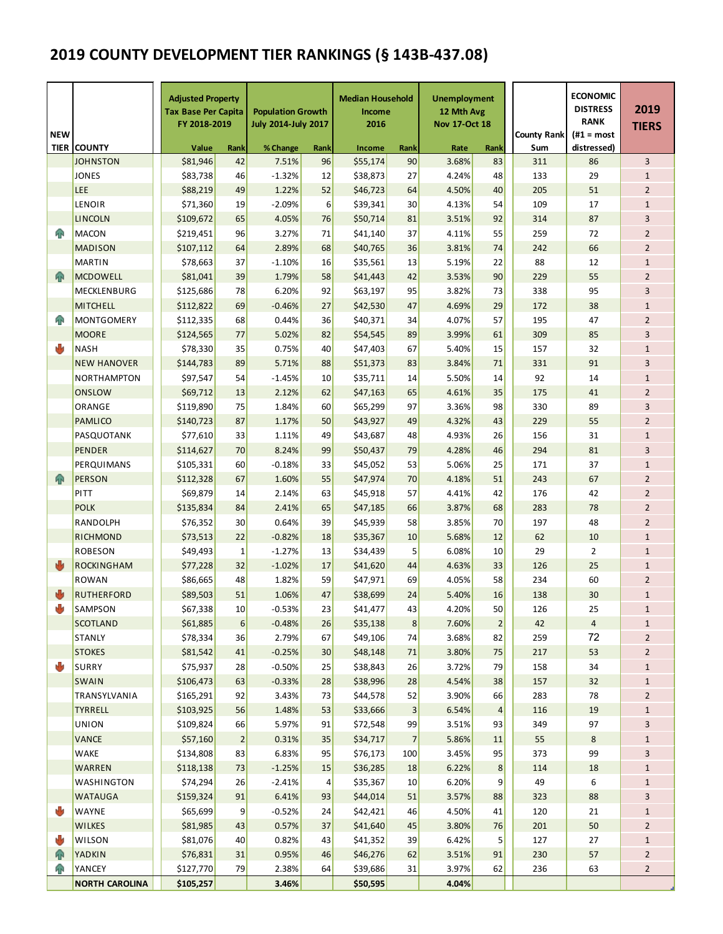# **2019 COUNTY DEVELOPMENT TIER RANKINGS (§ 143B-437.08)**

| <b>NEW</b>  |                       | <b>Adjusted Property</b><br>Tax Base Per Capita<br>FY 2018-2019 |                | <b>Population Growth</b><br><b>July 2014-July 2017</b> |                 | <b>Median Household</b><br>Income<br>2016 |                 | <b>Unemployment</b><br>12 Mth Avg<br><b>Nov 17-Oct 18</b> |                | <b>County Rank</b> | <b>ECONOMIC</b><br><b>DISTRESS</b><br><b>RANK</b><br>$#1 = most$ | 2019<br><b>TIERS</b> |  |
|-------------|-----------------------|-----------------------------------------------------------------|----------------|--------------------------------------------------------|-----------------|-------------------------------------------|-----------------|-----------------------------------------------------------|----------------|--------------------|------------------------------------------------------------------|----------------------|--|
| <b>TIER</b> | <b>COUNTY</b>         | Value<br>Rank                                                   |                | % Change                                               | Rank            | Income                                    | Rank            | Rate<br>Rank                                              |                | Sum                | distressed)                                                      |                      |  |
|             | JOHNSTON              | \$81,946                                                        | 42             | 7.51%                                                  | 96              | \$55,174                                  | 90              | 3.68%                                                     | 83             | 311                | 86                                                               | 3                    |  |
|             | <b>JONES</b>          | \$83,738                                                        | 46             | $-1.32%$                                               | 12              | \$38,873                                  | 27              | 4.24%                                                     | 48             | 133                | 29                                                               | $\mathbf{1}$         |  |
|             | <b>LEE</b>            | \$88,219                                                        | 49             | 1.22%                                                  | 52              | \$46,723                                  | 64              | 4.50%                                                     | 40             | 205                | 51                                                               | $\overline{2}$       |  |
|             | <b>LENOIR</b>         | \$71,360                                                        | 19             | $-2.09%$                                               | 6               | \$39,341                                  | 30              | 4.13%                                                     | 54             | 109                | 17                                                               | $\mathbf{1}$         |  |
|             | <b>LINCOLN</b>        | \$109,672                                                       | 65             | 4.05%                                                  | 76              | \$50,714                                  | 81              | 3.51%                                                     | 92             | 314                | 87                                                               | 3                    |  |
| ЙÑ          | <b>MACON</b>          | \$219,451                                                       | 96             | 3.27%                                                  | 71              | \$41,140                                  | 37              | 4.11%                                                     | 55             | 259                | 72                                                               | $\overline{2}$       |  |
|             | <b>MADISON</b>        | \$107,112                                                       | 64             | 2.89%                                                  | 68              | \$40,765                                  | 36              | 3.81%                                                     | 74             | 242                | 66                                                               | $\overline{2}$       |  |
|             | <b>MARTIN</b>         | \$78,663                                                        | 37             | $-1.10%$                                               | 16              | \$35,561                                  | 13              | 5.19%                                                     | 22             | 88                 | 12                                                               | $\mathbf{1}$         |  |
| 4R          | <b>MCDOWELL</b>       | \$81,041                                                        | 39             | 1.79%                                                  | 58              | \$41,443                                  | 42              | 3.53%                                                     | 90             | 229                | 55                                                               | $\overline{2}$       |  |
|             | MECKLENBURG           | \$125,686                                                       | 78             | 6.20%                                                  | 92              | \$63,197                                  | 95              | 3.82%                                                     | 73             | 338                | 95                                                               | 3                    |  |
|             | <b>MITCHELL</b>       | \$112,822                                                       | 69             | $-0.46%$                                               | 27              | \$42,530                                  | 47              | 4.69%                                                     | 29             | 172                | 38                                                               | $\mathbf 1$          |  |
| ЙÑ          | <b>MONTGOMERY</b>     | \$112,335                                                       | 68             | 0.44%                                                  | 36              | \$40,371                                  | 34              | 4.07%                                                     | 57             | 195                | 47                                                               | $\overline{2}$       |  |
|             | <b>MOORE</b>          | \$124,565                                                       | 77             | 5.02%                                                  | 82              | \$54,545                                  | 89              | 3.99%                                                     | 61             | 309                | 85                                                               | 3                    |  |
| ۰b          | <b>NASH</b>           | \$78,330                                                        | 35             | 0.75%                                                  | 40              | \$47,403                                  | 67              | 5.40%                                                     | 15             | 157                | 32                                                               | $\mathbf{1}$         |  |
|             | <b>NEW HANOVER</b>    | \$144,783                                                       | 89             | 5.71%                                                  | 88              | \$51,373                                  | 83              | 3.84%                                                     | 71             | 331                | 91                                                               | 3                    |  |
|             | <b>NORTHAMPTON</b>    | \$97,547                                                        | 54             | $-1.45%$                                               | 10              | \$35,711                                  | 14              | 5.50%                                                     | 14             | 92                 | 14                                                               | $\mathbf{1}$         |  |
|             | <b>ONSLOW</b>         | \$69,712                                                        | 13             | 2.12%                                                  | 62              | \$47,163                                  | 65              | 4.61%                                                     | 35             | 175                | 41                                                               | $\overline{2}$       |  |
|             | ORANGE                | \$119,890                                                       | 75             | 1.84%                                                  | 60              | \$65,299                                  | 97              | 3.36%                                                     | 98             | 330                | 89                                                               | 3                    |  |
|             | <b>PAMLICO</b>        | \$140,723                                                       | 87             | 1.17%                                                  | 50              | \$43,927                                  | 49              | 4.32%                                                     | 43             | 229                | 55                                                               | $\overline{2}$       |  |
|             | PASQUOTANK            | \$77,610                                                        | 33             | 1.11%                                                  | 49              | \$43,687                                  | 48              | 4.93%                                                     | 26             | 156                | 31                                                               | $\mathbf 1$          |  |
|             | <b>PENDER</b>         | \$114,627                                                       | 70             | 8.24%                                                  | 99              | \$50,437                                  | 79              | 4.28%                                                     | 46             | 294                | 81                                                               | 3                    |  |
|             | PERQUIMANS            | \$105,331                                                       | 60             | $-0.18%$                                               | 33              | \$45,052                                  | 53              | 5.06%                                                     | 25             | 171                | 37                                                               | $\mathbf 1$          |  |
| ЙR          | <b>PERSON</b>         | \$112,328                                                       | 67             | 1.60%                                                  | 55              | \$47,974                                  | 70              | 4.18%                                                     | 51             | 243                | 67                                                               | $\overline{2}$       |  |
|             | PITT                  | \$69,879                                                        | 14             | 2.14%                                                  | 63              | \$45,918                                  | 57              | 4.41%                                                     | 42             | 176                | 42                                                               | $\overline{2}$       |  |
|             | <b>POLK</b>           | \$135,834                                                       | 84             | 2.41%                                                  | 65              | \$47,185                                  | 66              | 3.87%                                                     | 68             | 283                | 78                                                               | $\overline{2}$       |  |
|             | RANDOLPH              | \$76,352                                                        | 30             | 0.64%                                                  | 39              | \$45,939                                  | 58              | 3.85%                                                     | 70             | 197                | 48                                                               | $\overline{2}$       |  |
|             | RICHMOND              | \$73,513                                                        | 22             | $-0.82%$                                               | 18              | \$35,367                                  | 10              | 5.68%                                                     | 12             | 62                 | 10                                                               | $\mathbf{1}$         |  |
|             | <b>ROBESON</b>        | \$49,493                                                        | $\mathbf 1$    | $-1.27%$                                               | 13              | \$34,439                                  | 5               | 6.08%                                                     | 10             | 29                 | $\overline{2}$                                                   | $\mathbf{1}$         |  |
| 西           | <b>ROCKINGHAM</b>     | \$77,228                                                        | 32             | $-1.02%$                                               | 17              | \$41,620                                  | 44              | 4.63%                                                     | 33             | 126                | 25                                                               | $\mathbf{1}$         |  |
|             | <b>ROWAN</b>          | \$86,665                                                        | 48             | 1.82%                                                  | 59              | \$47,971                                  | 69              | 4.05%                                                     | 58             | 234                | 60                                                               | $\overline{2}$       |  |
| ♨           | <b>RUTHERFORD</b>     | \$89,503                                                        | 51             | 1.06%                                                  | 47              | \$38,699                                  | 24              | 5.40%                                                     | 16             | 138                | 30                                                               | $\mathbf{1}$         |  |
|             | SAMPSON               | \$67,338                                                        | 10             | $-0.53%$                                               | 23              | \$41,477                                  | 43              | 4.20%                                                     | 50             | 126                | 25                                                               | $\overline{1}$       |  |
|             | <b>SCOTLAND</b>       | \$61,885                                                        | 6              | $-0.48%$                                               | 26              | \$35,138                                  | 8 <sup>2</sup>  | 7.60%                                                     | $\overline{2}$ | 42                 | 4                                                                | $\mathbf{1}$         |  |
|             | <b>STANLY</b>         | \$78,334                                                        | 36             | 2.79%                                                  | 67              | \$49,106                                  | 74              | 3.68%                                                     | 82             | 259                | 72                                                               | $\overline{2}$       |  |
|             | <b>STOKES</b>         | \$81,542                                                        | 41             | $-0.25%$                                               | 30              | \$48,148                                  | 71              | 3.80%                                                     | 75             | 217                | 53                                                               | $\overline{2}$       |  |
| ψ           | <b>SURRY</b>          | \$75,937                                                        | 28             | $-0.50%$                                               | 25              | \$38,843                                  | 26              | 3.72%                                                     | 79             | 158                | 34                                                               | $\mathbf{1}$         |  |
|             | <b>SWAIN</b>          | \$106,473                                                       | 63             | $-0.33%$                                               | 28              | \$38,996                                  | 28              | 4.54%                                                     | 38             | 157                | 32                                                               | 1                    |  |
|             | TRANSYLVANIA          | \$165,291                                                       | 92             | 3.43%                                                  | 73              | \$44,578                                  | 52              | 3.90%                                                     | 66             | 283                | 78                                                               | 2                    |  |
|             | <b>TYRRELL</b>        | \$103,925                                                       | 56             | 1.48%                                                  | 53              | \$33,666                                  | $\vert 3 \vert$ | 6.54%                                                     | 4              | 116                | 19                                                               | 1                    |  |
|             | <b>UNION</b>          | \$109,824                                                       | 66             | 5.97%                                                  | 91              | \$72,548                                  | 99              | 3.51%                                                     | 93             | 349                | 97                                                               | з                    |  |
|             | VANCE                 | \$57,160                                                        | $\overline{2}$ | 0.31%                                                  | 35              | \$34,717                                  | 7               | 5.86%                                                     | 11             | 55                 | 8                                                                | 1                    |  |
|             | WAKE                  | \$134,808                                                       | 83             | 6.83%                                                  | 95              | \$76,173                                  | 100             | 3.45%                                                     | 95             | 373                | 99                                                               | 3                    |  |
|             | WARREN                | \$118,138                                                       | 73             | $-1.25%$                                               | 15              | \$36,285                                  | 18              | 6.22%                                                     | 8              | 114                | 18                                                               | 1                    |  |
|             | WASHINGTON            | \$74,294                                                        | 26             | $-2.41%$                                               | $\vert 4 \vert$ | \$35,367                                  | 10 <sub>2</sub> | 6.20%                                                     | $\overline{9}$ | 49                 | 6                                                                | $\mathbf{1}$         |  |
|             | WATAUGA               | \$159,324                                                       | 91             | 6.41%                                                  | 93              | \$44,014                                  | 51              | 3.57%                                                     | 88             | 323                | 88                                                               | з                    |  |
| ψ           | WAYNE                 | \$65,699                                                        | 9              | $-0.52%$                                               | 24              | \$42,421                                  | 46              | 4.50%                                                     | 41             | 120                | 21                                                               | $\mathbf{1}$         |  |
|             | WILKES                | \$81,985                                                        | 43             | 0.57%                                                  | 37              | \$41,640                                  | 45              | 3.80%                                                     | 76             | 201                | 50                                                               | 2                    |  |
| ψ           | WILSON                | \$81,076                                                        | 40             | 0.82%                                                  | 43              | \$41,352                                  | 39              | 6.42%                                                     | 5              | 127                | 27                                                               | $\mathbf{1}$         |  |
| 卯           | YADKIN                | \$76,831                                                        | 31             | 0.95%                                                  | 46              | \$46,276                                  | 62              | 3.51%                                                     | 91             | 230                | 57                                                               | 2                    |  |
| ብ           | YANCEY                | \$127,770                                                       | 79             | 2.38%                                                  | 64              | \$39,686                                  | 31              | 3.97%                                                     | 62             | 236                | 63                                                               | $\overline{2}$       |  |
|             | <b>NORTH CAROLINA</b> | \$105,257                                                       |                | 3.46%                                                  |                 | \$50,595                                  |                 | 4.04%                                                     |                |                    |                                                                  |                      |  |